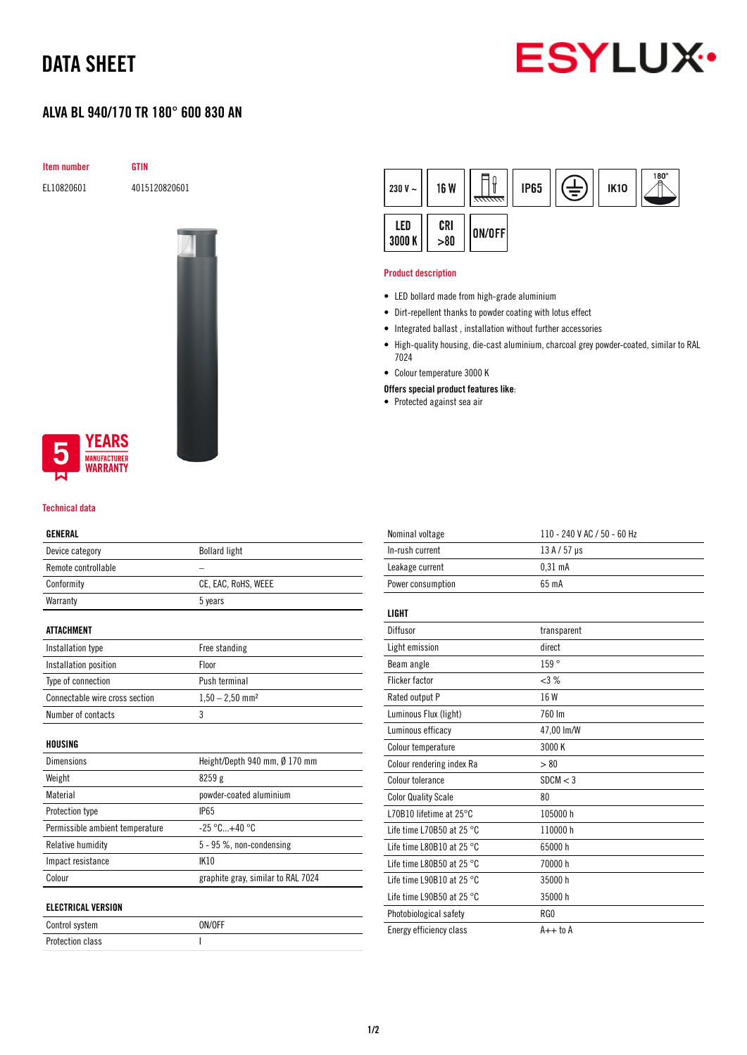# DATA SHEET

# **ESYLUX**

# ALVA BL 940/170 TR 180° 600 830 AN

Item number GTIN

EL10820601 4015120820601



## **YEARS NUFACTURER** WARRANTY

#### Technical data

### GENERAL

| ucneral                         |                                    |  |
|---------------------------------|------------------------------------|--|
| Device category                 | <b>Bollard light</b>               |  |
| Remote controllable             |                                    |  |
| Conformity                      | CE, EAC, RoHS, WEEE                |  |
| Warranty                        | 5 years                            |  |
| <b>ATTACHMENT</b>               |                                    |  |
| Installation type               | Free standing                      |  |
| Installation position           | Floor                              |  |
| Type of connection              | Push terminal                      |  |
| Connectable wire cross section  | $1,50 - 2,50$ mm <sup>2</sup>      |  |
| Number of contacts              | 3                                  |  |
| HOUSING                         |                                    |  |
| Dimensions                      | Height/Depth 940 mm, Ø 170 mm      |  |
| Weight                          | 8259g                              |  |
| Material                        | powder-coated aluminium            |  |
| Protection type                 | <b>IP65</b>                        |  |
| Permissible ambient temperature | $-25 °C+40 °C$                     |  |
| Relative humidity               | 5 - 95 %, non-condensing           |  |
| Impact resistance               | <b>IK10</b>                        |  |
| Colour                          | graphite gray, similar to RAL 7024 |  |
| <b>ELECTRICAL VERSION</b>       |                                    |  |
| Control system                  | ON/OFF                             |  |

Protection class and a set of the set of the set of the set of the set of the set of the set of the set of the

| 230 V $\sim$  | 16 W     | 77777777 | <b>IP65</b> | È | <b>IK10</b> | $^{180^{\circ}}$ |
|---------------|----------|----------|-------------|---|-------------|------------------|
| LED<br>3000 K | CRI > 80 | ON/OFF   |             |   |             |                  |

#### Product description

- LED bollard made from high-grade aluminium
- Dirt-repellent thanks to powder coating with lotus effect
- Integrated ballast , installation without further accessories
- High-quality housing, die-cast aluminium, charcoal grey powder-coated, similar to RAL 7024
- Colour temperature 3000 K
- Offers special product features like:
- Protected against sea air

| Nominal voltage                     | 110 - 240 V AC / 50 - 60 Hz |
|-------------------------------------|-----------------------------|
| In-rush current                     | $13A/57$ µs                 |
| Leakage current                     | $0.31$ mA                   |
| Power consumption                   | 65 mA                       |
|                                     |                             |
| LIGHT                               |                             |
| Diffusor                            | transparent                 |
| Light emission                      | direct                      |
| Beam angle                          | 159°                        |
| <b>Flicker factor</b>               | <3%                         |
| Rated output P                      | 16 W                        |
| Luminous Flux (light)               | 760 Im                      |
| Luminous efficacy                   | 47,00 lm/W                  |
| Colour temperature                  | 3000 K                      |
| Colour rendering index Ra           | > 80                        |
| Colour tolerance                    | SDCM < 3                    |
| <b>Color Quality Scale</b>          | 80                          |
| L70B10 lifetime at $25^{\circ}$ C   | 105000 h                    |
| Life time L70B50 at 25 °C.          | 110000 h                    |
| Life time L80B10 at 25 $^{\circ}$ C | 65000h                      |
| Life time L80B50 at 25 $^{\circ}$ C | 70000 h                     |
| Life time L90B10 at 25 $^{\circ}$ C | 35000h                      |
| Life time L90B50 at 25 °C           | 35000h                      |
| Photobiological safety              | RG0                         |
| Energy efficiency class             | $A++$ to $A$                |
|                                     |                             |